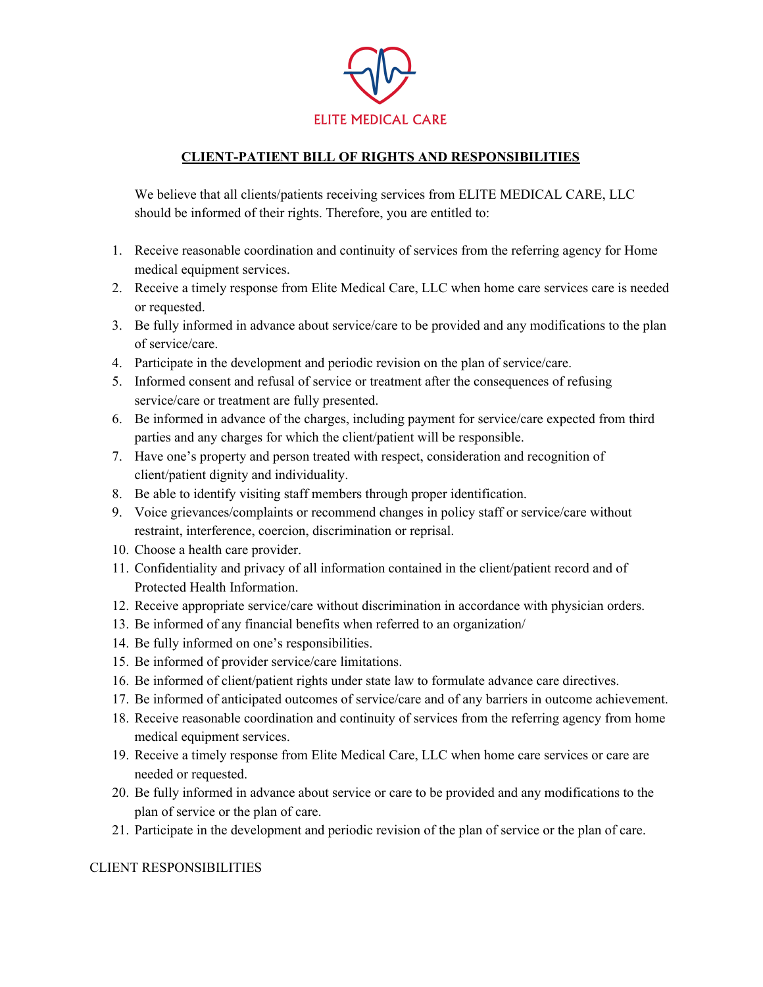

## **CLIENT-PATIENT BILL OF RIGHTS AND RESPONSIBILITIES**

We believe that all clients/patients receiving services from ELITE MEDICAL CARE, LLC should be informed of their rights. Therefore, you are entitled to:

- 1. Receive reasonable coordination and continuity of services from the referring agency for Home medical equipment services.
- 2. Receive a timely response from Elite Medical Care, LLC when home care services care is needed or requested.
- 3. Be fully informed in advance about service/care to be provided and any modifications to the plan of service/care.
- 4. Participate in the development and periodic revision on the plan of service/care.
- 5. Informed consent and refusal of service or treatment after the consequences of refusing service/care or treatment are fully presented.
- 6. Be informed in advance of the charges, including payment for service/care expected from third parties and any charges for which the client/patient will be responsible.
- 7. Have one's property and person treated with respect, consideration and recognition of client/patient dignity and individuality.
- 8. Be able to identify visiting staff members through proper identification.
- 9. Voice grievances/complaints or recommend changes in policy staff or service/care without restraint, interference, coercion, discrimination or reprisal.
- 10. Choose a health care provider.
- 11. Confidentiality and privacy of all information contained in the client/patient record and of Protected Health Information.
- 12. Receive appropriate service/care without discrimination in accordance with physician orders.
- 13. Be informed of any financial benefits when referred to an organization/
- 14. Be fully informed on one's responsibilities.
- 15. Be informed of provider service/care limitations.
- 16. Be informed of client/patient rights under state law to formulate advance care directives.
- 17. Be informed of anticipated outcomes of service/care and of any barriers in outcome achievement.
- 18. Receive reasonable coordination and continuity of services from the referring agency from home medical equipment services.
- 19. Receive a timely response from Elite Medical Care, LLC when home care services or care are needed or requested.
- 20. Be fully informed in advance about service or care to be provided and any modifications to the plan of service or the plan of care.
- 21. Participate in the development and periodic revision of the plan of service or the plan of care.

## CLIENT RESPONSIBILITIES